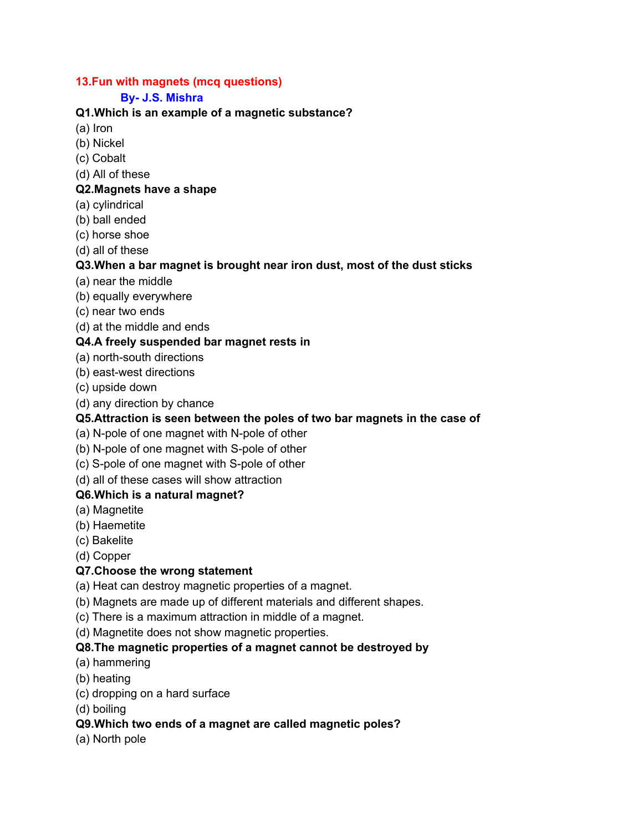## **13.Fun with magnets (mcq questions)**

### **By- J.S. Mishra**

### **Q1.Which is an example of a magnetic substance?**

(a) Iron

- (b) Nickel
- (c) Cobalt
- (d) All of these

#### **Q2.Magnets have a shape**

- (a) cylindrical
- (b) ball ended
- (c) horse shoe
- (d) all of these

### **Q3.When a bar magnet is brought near iron dust, most of the dust sticks**

- (a) near the middle
- (b) equally everywhere
- (c) near two ends
- (d) at the middle and ends

### **Q4.A freely suspended bar magnet rests in**

- (a) north-south directions
- (b) east-west directions
- (c) upside down
- (d) any direction by chance

# **Q5.Attraction is seen between the poles of two bar magnets in the case of**

- (a) N-pole of one magnet with N-pole of other
- (b) N-pole of one magnet with S-pole of other
- (c) S-pole of one magnet with S-pole of other
- (d) all of these cases will show attraction

#### **Q6.Which is a natural magnet?**

- (a) Magnetite
- (b) Haemetite
- (c) Bakelite
- (d) Copper

# **Q7.Choose the wrong statement**

- (a) Heat can destroy magnetic properties of a magnet.
- (b) Magnets are made up of different materials and different shapes.
- (c) There is a maximum attraction in middle of a magnet.
- (d) Magnetite does not show magnetic properties.

# **Q8.The magnetic properties of a magnet cannot be destroyed by**

- (a) hammering
- (b) heating
- (c) dropping on a hard surface
- (d) boiling

# **Q9.Which two ends of a magnet are called magnetic poles?**

(a) North pole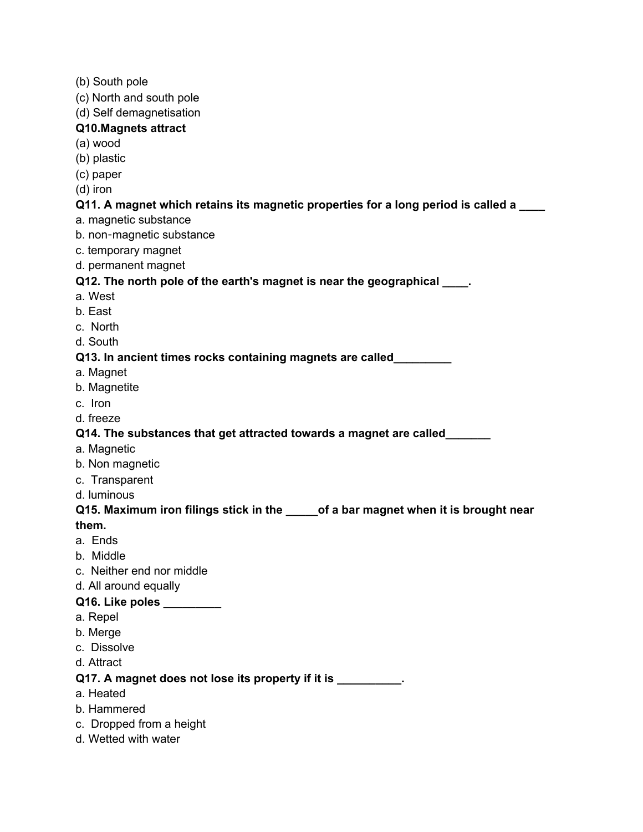- (b) South pole
- (c) North and south pole
- (d) Self demagnetisation

#### **Q10.Magnets attract**

- (a) wood
- (b) plastic
- (c) paper
- (d) iron

#### **Q11. A magnet which retains its magnetic properties for a long period is called a \_\_\_\_**

- a. magnetic substance
- b. non-magnetic substance
- c. temporary magnet
- d. permanent magnet

#### **Q12. The north pole of the earth's magnet is near the geographical \_\_\_\_.**

- a. West
- b. East
- c. North
- d. South

#### **Q13. In ancient times rocks containing magnets are called\_\_\_\_\_\_\_\_\_**

- a. Magnet
- b. Magnetite
- c. Iron
- d. freeze

### **Q14. The substances that get attracted towards a magnet are called\_\_\_\_\_\_\_**

- a. Magnetic
- b. Non magnetic
- c. Transparent
- d. luminous

# **Q15. Maximum iron filings stick in the \_\_\_\_\_of a bar magnet when it is brought near them.**

- a. Ends
- b. Middle
- c. Neither end nor middle
- d. All around equally

# **Q16. Like poles \_\_\_\_\_\_\_\_\_**

- a. Repel
- b. Merge
- c. Dissolve
- d. Attract

#### **Q17. A magnet does not lose its property if it is \_\_\_\_\_\_\_\_\_\_.**

- a. Heated
- b. Hammered
- c. Dropped from a height
- d. Wetted with water